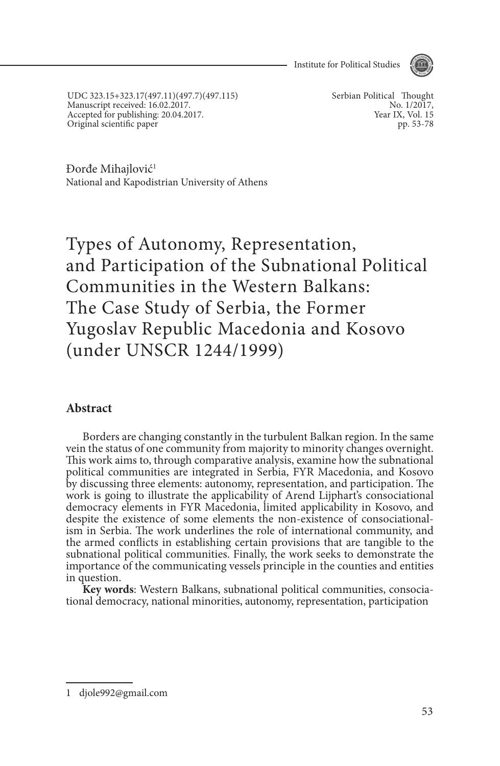Institute for Political Studies



UDC 323.15+323.17(497.11)(497.7)(497.115) Manuscript received: 16.02.2017. Accepted for publishing: 20.04.2017. Original scientific paper

Serbian Political Thought No. 1/2017, Year IX, Vol. 15 pp. 53-78

Đorđe Mihajlović<sup>1</sup> National and Kapodistrian University of Athens

Types of Autonomy, Representation, and Participation of the Subnational Political Communities in the Western Balkans: The Case Study of Serbia, the Former Yugoslav Republic Macedonia and Kosovo (under UNSCR 1244/1999)

#### **Abstract**

Borders are changing constantly in the turbulent Balkan region. In the same vein the status of one community from majority to minority changes overnight. This work aims to, through comparative analysis, examine how the subnational political communities are integrated in Serbia, FYR Macedonia, and Kosovo by discussing three elements: autonomy, representation, and participation. The work is going to illustrate the applicability of Arend Lijphart's consociational democracy elements in FYR Macedonia, limited applicability in Kosovo, and despite the existence of some elements the non-existence of consociationalism in Serbia. The work underlines the role of international community, and the armed conflicts in establishing certain provisions that are tangible to the subnational political communities. Finally, the work seeks to demonstrate the importance of the communicating vessels principle in the counties and entities

in question.<br>**Key words:** Western Balkans, subnational political communities, consociational democracy, national minorities, autonomy, representation, participation

<sup>1</sup> djole992@gmail.com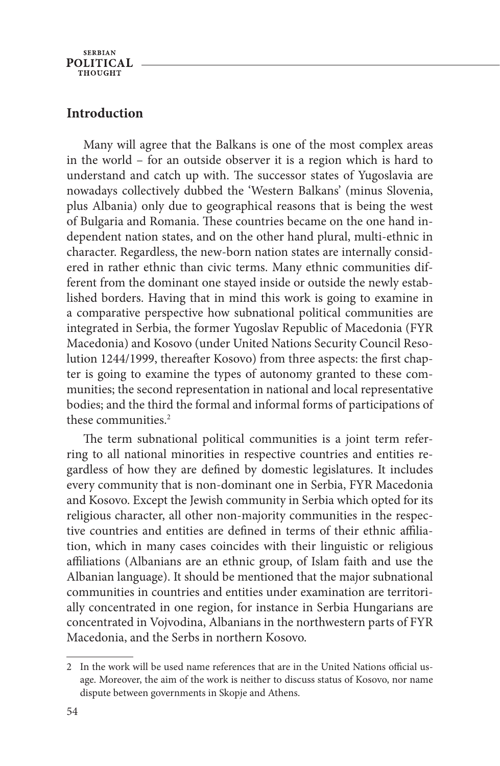**SERBIAN POLITICAL THOUGHT** 

#### **Introduction**

Many will agree that the Balkans is one of the most complex areas in the world – for an outside observer it is a region which is hard to understand and catch up with. The successor states of Yugoslavia are nowadays collectively dubbed the 'Western Balkans' (minus Slovenia, plus Albania) only due to geographical reasons that is being the west of Bulgaria and Romania. These countries became on the one hand independent nation states, and on the other hand plural, multi-ethnic in character. Regardless, the new-born nation states are internally considered in rather ethnic than civic terms. Many ethnic communities different from the dominant one stayed inside or outside the newly established borders. Having that in mind this work is going to examine in a comparative perspective how subnational political communities are integrated in Serbia, the former Yugoslav Republic of Macedonia (FYR Macedonia) and Kosovo (under United Nations Security Council Resolution 1244/1999, thereafter Kosovo) from three aspects: the first chapter is going to examine the types of autonomy granted to these communities; the second representation in national and local representative bodies; and the third the formal and informal forms of participations of these communities.<sup>2</sup>

The term subnational political communities is a joint term referring to all national minorities in respective countries and entities regardless of how they are defined by domestic legislatures. It includes every community that is non-dominant one in Serbia, FYR Macedonia and Kosovo. Except the Jewish community in Serbia which opted for its religious character, all other non-majority communities in the respective countries and entities are defined in terms of their ethnic affiliation, which in many cases coincides with their linguistic or religious affiliations (Albanians are an ethnic group, of Islam faith and use the Albanian language). It should be mentioned that the major subnational communities in countries and entities under examination are territorially concentrated in one region, for instance in Serbia Hungarians are concentrated in Vojvodina, Albanians in the northwestern parts of FYR Macedonia, and the Serbs in northern Kosovo.

<sup>2</sup> In the work will be used name references that are in the United Nations official usage. Moreover, the aim of the work is neither to discuss status of Kosovo, nor name dispute between governments in Skopje and Athens.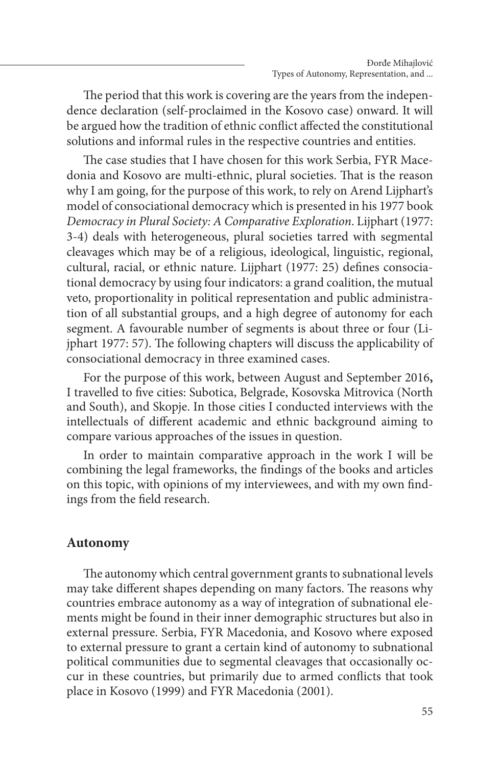The period that this work is covering are the years from the independence declaration (self-proclaimed in the Kosovo case) onward. It will be argued how the tradition of ethnic conflict affected the constitutional solutions and informal rules in the respective countries and entities.

The case studies that I have chosen for this work Serbia, FYR Macedonia and Kosovo are multi-ethnic, plural societies. That is the reason why I am going, for the purpose of this work, to rely on Arend Lijphart's model of consociational democracy which is presented in his 1977 book *Democracy in Plural Society: A Comparative Exploration*. Lijphart (1977: 3-4) deals with heterogeneous, plural societies tarred with segmental cleavages which may be of a religious, ideological, linguistic, regional, cultural, racial, or ethnic nature. Lijphart (1977: 25) defines consociational democracy by using four indicators: a grand coalition, the mutual veto, proportionality in political representation and public administration of all substantial groups, and a high degree of autonomy for each segment. A favourable number of segments is about three or four (Lijphart 1977: 57). The following chapters will discuss the applicability of consociational democracy in three examined cases.

For the purpose of this work, between August and September 2016**,** I travelled to five cities: Subotica, Belgrade, Kosovska Mitrovica (North and South), and Skopje. In those cities I conducted interviews with the intellectuals of different academic and ethnic background aiming to compare various approaches of the issues in question.

In order to maintain comparative approach in the work I will be combining the legal frameworks, the findings of the books and articles on this topic, with opinions of my interviewees, and with my own findings from the field research.

### **Autonomy**

The autonomy which central government grants to subnational levels may take different shapes depending on many factors. The reasons why countries embrace autonomy as a way of integration of subnational elements might be found in their inner demographic structures but also in external pressure. Serbia, FYR Macedonia, and Kosovo where exposed to external pressure to grant a certain kind of autonomy to subnational political communities due to segmental cleavages that occasionally occur in these countries, but primarily due to armed conflicts that took place in Kosovo (1999) and FYR Macedonia (2001).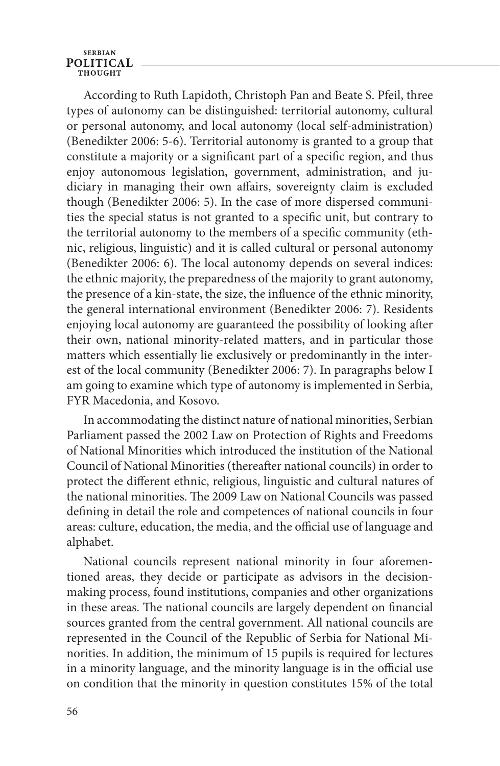According to Ruth Lapidoth, Christoph Pan and Beate S. Pfeil, three types of autonomy can be distinguished: territorial autonomy, cultural or personal autonomy, and local autonomy (local self-administration) (Benedikter 2006: 5-6). Territorial autonomy is granted to a group that constitute a majority or a significant part of a specific region, and thus enjoy autonomous legislation, government, administration, and judiciary in managing their own affairs, sovereignty claim is excluded though (Benedikter 2006: 5). In the case of more dispersed communities the special status is not granted to a specific unit, but contrary to the territorial autonomy to the members of a specific community (ethnic, religious, linguistic) and it is called cultural or personal autonomy (Benedikter 2006: 6). The local autonomy depends on several indices: the ethnic majority, the preparedness of the majority to grant autonomy, the presence of a kin-state, the size, the influence of the ethnic minority, the general international environment (Benedikter 2006: 7). Residents enjoying local autonomy are guaranteed the possibility of looking after their own, national minority-related matters, and in particular those matters which essentially lie exclusively or predominantly in the interest of the local community (Benedikter 2006: 7). In paragraphs below I am going to examine which type of autonomy is implemented in Serbia, FYR Macedonia, and Kosovo.

In accommodating the distinct nature of national minorities, Serbian Parliament passed the 2002 Law on Protection of Rights and Freedoms of National Minorities which introduced the institution of the National Council of National Minorities (thereafter national councils) in order to protect the different ethnic, religious, linguistic and cultural natures of the national minorities. The 2009 Law on National Councils was passed defining in detail the role and competences of national councils in four areas: culture, education, the media, and the official use of language and alphabet.

National councils represent national minority in four aforementioned areas, they decide or participate as advisors in the decisionmaking process, found institutions, companies and other organizations in these areas. The national councils are largely dependent on financial sources granted from the central government. All national councils are represented in the Council of the Republic of Serbia for National Minorities. In addition, the minimum of 15 pupils is required for lectures in a minority language, and the minority language is in the official use on condition that the minority in question constitutes 15% of the total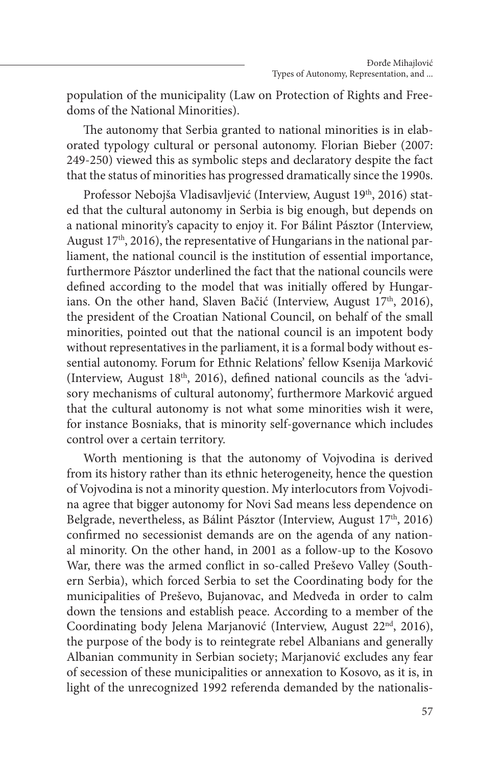population of the municipality (Law on Protection of Rights and Freedoms of the National Minorities).

The autonomy that Serbia granted to national minorities is in elaborated typology cultural or personal autonomy. Florian Bieber (2007: 249-250) viewed this as symbolic steps and declaratory despite the fact that the status of minorities has progressed dramatically since the 1990s.

Professor Nebojša Vladisavljević (Interview, August 19<sup>th</sup>, 2016) stated that the cultural autonomy in Serbia is big enough, but depends on a national minority's capacity to enjoy it. For Bálint Pásztor (Interview, August 17<sup>th</sup>, 2016), the representative of Hungarians in the national parliament, the national council is the institution of essential importance, furthermore Pásztor underlined the fact that the national councils were defined according to the model that was initially offered by Hungarians. On the other hand, Slaven Bačić (Interview, August 17<sup>th</sup>, 2016), the president of the Croatian National Council, on behalf of the small minorities, pointed out that the national council is an impotent body without representatives in the parliament, it is a formal body without essential autonomy. Forum for Ethnic Relations' fellow Ksenija Marković (Interview, August  $18<sup>th</sup>$ , 2016), defined national councils as the 'advisory mechanisms of cultural autonomy', furthermore Marković argued that the cultural autonomy is not what some minorities wish it were, for instance Bosniaks, that is minority self-governance which includes control over a certain territory.

Worth mentioning is that the autonomy of Vojvodina is derived from its history rather than its ethnic heterogeneity, hence the question of Vojvodina is not a minority question. My interlocutors from Vojvodina agree that bigger autonomy for Novi Sad means less dependence on Belgrade, nevertheless, as Bálint Pásztor (Interview, August  $17<sup>th</sup>$ , 2016) confirmed no secessionist demands are on the agenda of any national minority. On the other hand, in 2001 as a follow-up to the Kosovo War, there was the armed conflict in so-called Preševo Valley (Southern Serbia), which forced Serbia to set the Coordinating body for the municipalities of Preševo, Bujanovac, and Medveđa in order to calm down the tensions and establish peace. According to a member of the Coordinating body Jelena Marjanović (Interview, August 22<sup>nd</sup>, 2016), the purpose of the body is to reintegrate rebel Albanians and generally Albanian community in Serbian society; Marjanović excludes any fear of secession of these municipalities or annexation to Kosovo, as it is, in light of the unrecognized 1992 referenda demanded by the nationalis-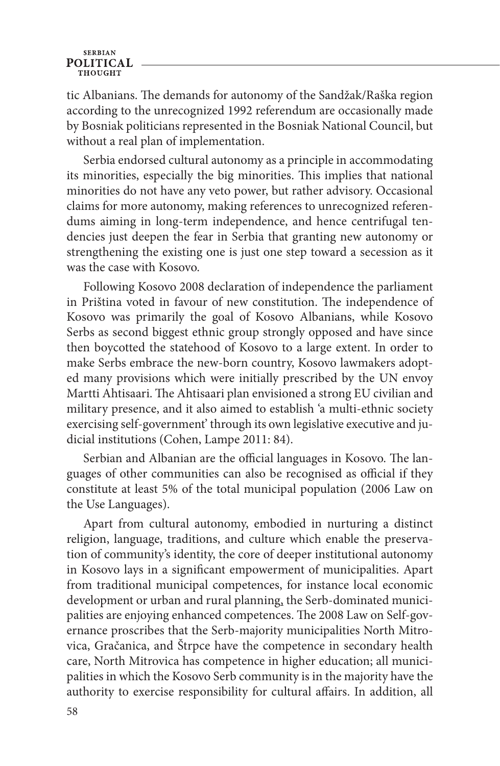tic Albanians. The demands for autonomy of the Sandžak/Raška region according to the unrecognized 1992 referendum are occasionally made by Bosniak politicians represented in the Bosniak National Council, but without a real plan of implementation.

Serbia endorsed cultural autonomy as a principle in accommodating its minorities, especially the big minorities. This implies that national minorities do not have any veto power, but rather advisory. Occasional claims for more autonomy, making references to unrecognized referendums aiming in long-term independence, and hence centrifugal tendencies just deepen the fear in Serbia that granting new autonomy or strengthening the existing one is just one step toward a secession as it was the case with Kosovo.

Following Kosovo 2008 declaration of independence the parliament in Priština voted in favour of new constitution. The independence of Kosovo was primarily the goal of Kosovo Albanians, while Kosovo Serbs as second biggest ethnic group strongly opposed and have since then boycotted the statehood of Kosovo to a large extent. In order to make Serbs embrace the new-born country, Kosovo lawmakers adopted many provisions which were initially prescribed by the UN envoy Martti Ahtisaari. The Ahtisaari plan envisioned a strong EU civilian and military presence, and it also aimed to establish 'a multi-ethnic society exercising self-government' through its own legislative executive and judicial institutions (Cohen, Lampe 2011: 84).

Serbian and Albanian are the official languages in Kosovo. The languages of other communities can also be recognised as official if they constitute at least 5% of the total municipal population (2006 Law on the Use Languages).

Apart from cultural autonomy, embodied in nurturing a distinct religion, language, traditions, and culture which enable the preservation of community's identity, the core of deeper institutional autonomy in Kosovo lays in a significant empowerment of municipalities. Apart from traditional municipal competences, for instance local economic development or urban and rural planning, the Serb-dominated municipalities are enjoying enhanced competences. The 2008 Law on Self-governance proscribes that the Serb-majority municipalities North Mitrovica, Gračanica, and Štrpce have the competence in secondary health care, North Mitrovica has competence in higher education; all municipalities in which the Kosovo Serb community is in the majority have the authority to exercise responsibility for cultural affairs. In addition, all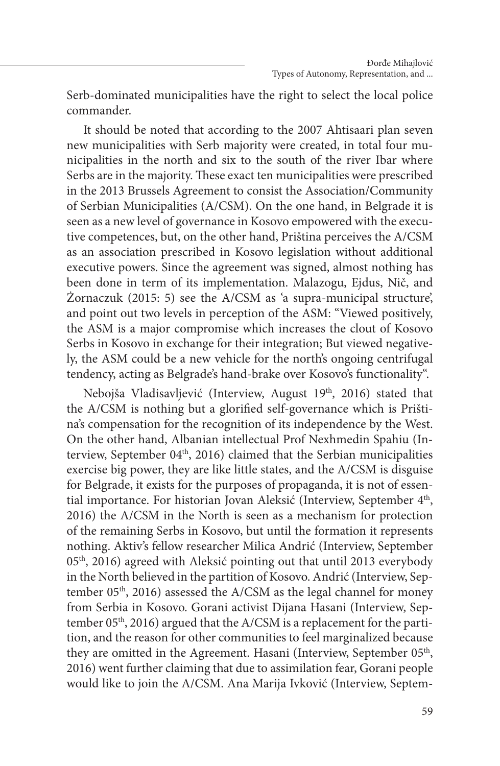Serb-dominated municipalities have the right to select the local police commander.

It should be noted that according to the 2007 Ahtisaari plan seven new municipalities with Serb majority were created, in total four municipalities in the north and six to the south of the river Ibar where Serbs are in the majority. These exact ten municipalities were prescribed in the 2013 Brussels Agreement to consist the Association/Community of Serbian Municipalities (A/CSM). On the one hand, in Belgrade it is seen as a new level of governance in Kosovo empowered with the executive competences, but, on the other hand, Priština perceives the A/CSM as an association prescribed in Kosovo legislation without additional executive powers. Since the agreement was signed, almost nothing has been done in term of its implementation. Malazogu, Ejdus, Nič, and Żornaczuk (2015: 5) see the A/CSM as 'a supra-municipal structure', and point out two levels in perception of the ASM: "Viewed positively, the ASM is a major compromise which increases the clout of Kosovo Serbs in Kosovo in exchange for their integration; But viewed negatively, the ASM could be a new vehicle for the north's ongoing centrifugal tendency, acting as Belgrade's hand-brake over Kosovo's functionality".

Nebojša Vladisavljević (Interview, August 19<sup>th</sup>, 2016) stated that the A/CSM is nothing but a glorified self-governance which is Priština's compensation for the recognition of its independence by the West. On the other hand, Albanian intellectual Prof Nexhmedin Spahiu (Interview, September 04<sup>th</sup>, 2016) claimed that the Serbian municipalities exercise big power, they are like little states, and the A/CSM is disguise for Belgrade, it exists for the purposes of propaganda, it is not of essential importance. For historian Jovan Aleksić (Interview, September 4<sup>th</sup>, 2016) the A/CSM in the North is seen as a mechanism for protection of the remaining Serbs in Kosovo, but until the formation it represents nothing. Aktiv's fellow researcher Milica Andrić (Interview, September  $05<sup>th</sup>$ , 2016) agreed with Aleksić pointing out that until 2013 everybody in the North believed in the partition of Kosovo. Andrić (Interview, September 05<sup>th</sup>, 2016) assessed the A/CSM as the legal channel for money from Serbia in Kosovo. Gorani activist Dijana Hasani (Interview, September 05<sup>th</sup>, 2016) argued that the A/CSM is a replacement for the partition, and the reason for other communities to feel marginalized because they are omitted in the Agreement. Hasani (Interview, September 05<sup>th</sup>, 2016) went further claiming that due to assimilation fear, Gorani people would like to join the A/CSM. Ana Marija Ivković (Interview, Septem-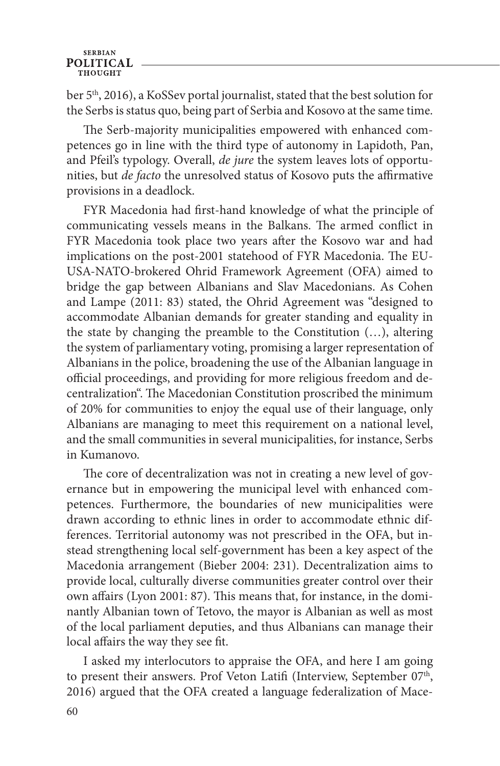ber 5<sup>th</sup>, 2016), a KoSSev portal journalist, stated that the best solution for the Serbs is status quo, being part of Serbia and Kosovo at the same time.

The Serb-majority municipalities empowered with enhanced competences go in line with the third type of autonomy in Lapidoth, Pan, and Pfeil's typology. Overall, *de jure* the system leaves lots of opportunities, but *de facto* the unresolved status of Kosovo puts the affirmative provisions in a deadlock.

FYR Macedonia had first-hand knowledge of what the principle of communicating vessels means in the Balkans. The armed conflict in FYR Macedonia took place two years after the Kosovo war and had implications on the post-2001 statehood of FYR Macedonia. The EU-USA-NATO-brokered Ohrid Framework Agreement (OFA) aimed to bridge the gap between Albanians and Slav Macedonians. As Cohen and Lampe (2011: 83) stated, the Ohrid Agreement was "designed to accommodate Albanian demands for greater standing and equality in the state by changing the preamble to the Constitution (…), altering the system of parliamentary voting, promising a larger representation of Albanians in the police, broadening the use of the Albanian language in official proceedings, and providing for more religious freedom and decentralization". The Macedonian Constitution proscribed the minimum of 20% for communities to enjoy the equal use of their language, only Albanians are managing to meet this requirement on a national level, and the small communities in several municipalities, for instance, Serbs in Kumanovo.

The core of decentralization was not in creating a new level of governance but in empowering the municipal level with enhanced competences. Furthermore, the boundaries of new municipalities were drawn according to ethnic lines in order to accommodate ethnic differences. Territorial autonomy was not prescribed in the OFA, but instead strengthening local self-government has been a key aspect of the Macedonia arrangement (Bieber 2004: 231). Decentralization aims to provide local, culturally diverse communities greater control over their own affairs (Lyon 2001: 87). This means that, for instance, in the dominantly Albanian town of Tetovo, the mayor is Albanian as well as most of the local parliament deputies, and thus Albanians can manage their local affairs the way they see fit.

I asked my interlocutors to appraise the OFA, and here I am going to present their answers. Prof Veton Latifi (Interview, September 07<sup>th</sup>, 2016) argued that the OFA created a language federalization of Mace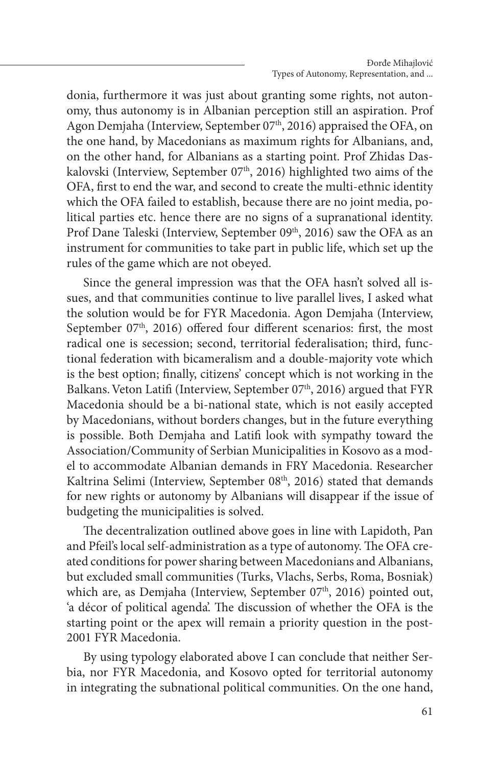donia, furthermore it was just about granting some rights, not autonomy, thus autonomy is in Albanian perception still an aspiration. Prof Agon Demjaha (Interview, September 07<sup>th</sup>, 2016) appraised the OFA, on the one hand, by Macedonians as maximum rights for Albanians, and, on the other hand, for Albanians as a starting point. Prof Zhidas Daskalovski (Interview, September 07<sup>th</sup>, 2016) highlighted two aims of the OFA, first to end the war, and second to create the multi-ethnic identity which the OFA failed to establish, because there are no joint media, political parties etc. hence there are no signs of a supranational identity. Prof Dane Taleski (Interview, September 09<sup>th</sup>, 2016) saw the OFA as an instrument for communities to take part in public life, which set up the rules of the game which are not obeyed.

Since the general impression was that the OFA hasn't solved all issues, and that communities continue to live parallel lives, I asked what the solution would be for FYR Macedonia. Agon Demjaha (Interview, September  $07<sup>th</sup>$ , 2016) offered four different scenarios: first, the most radical one is secession; second, territorial federalisation; third, functional federation with bicameralism and a double-majority vote which is the best option; finally, citizens' concept which is not working in the Balkans. Veton Latifi (Interview, September 07<sup>th</sup>, 2016) argued that FYR Macedonia should be a bi-national state, which is not easily accepted by Macedonians, without borders changes, but in the future everything is possible. Both Demjaha and Latifi look with sympathy toward the Association/Community of Serbian Municipalities in Kosovo as a model to accommodate Albanian demands in FRY Macedonia. Researcher Kaltrina Selimi (Interview, September 08<sup>th</sup>, 2016) stated that demands for new rights or autonomy by Albanians will disappear if the issue of budgeting the municipalities is solved.

The decentralization outlined above goes in line with Lapidoth, Pan and Pfeil's local self-administration as a type of autonomy. The OFA created conditions for power sharing between Macedonians and Albanians, but excluded small communities (Turks, Vlachs, Serbs, Roma, Bosniak) which are, as Demjaha (Interview, September 07<sup>th</sup>, 2016) pointed out, 'a décor of political agenda'. The discussion of whether the OFA is the starting point or the apex will remain a priority question in the post-2001 FYR Macedonia.

By using typology elaborated above I can conclude that neither Serbia, nor FYR Macedonia, and Kosovo opted for territorial autonomy in integrating the subnational political communities. On the one hand,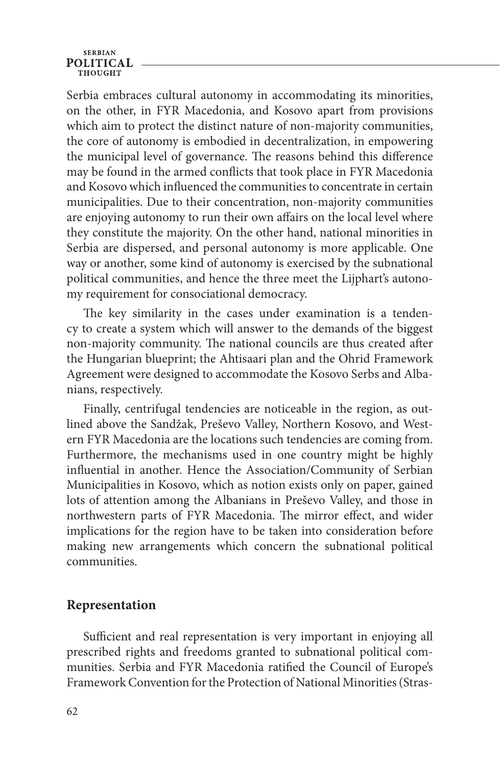Serbia embraces cultural autonomy in accommodating its minorities, on the other, in FYR Macedonia, and Kosovo apart from provisions which aim to protect the distinct nature of non-majority communities, the core of autonomy is embodied in decentralization, in empowering the municipal level of governance. The reasons behind this difference may be found in the armed conflicts that took place in FYR Macedonia and Kosovo which influenced the communities to concentrate in certain municipalities. Due to their concentration, non-majority communities are enjoying autonomy to run their own affairs on the local level where they constitute the majority. On the other hand, national minorities in Serbia are dispersed, and personal autonomy is more applicable. One way or another, some kind of autonomy is exercised by the subnational political communities, and hence the three meet the Lijphart's autonomy requirement for consociational democracy.

The key similarity in the cases under examination is a tendency to create a system which will answer to the demands of the biggest non-majority community. The national councils are thus created after the Hungarian blueprint; the Ahtisaari plan and the Ohrid Framework Agreement were designed to accommodate the Kosovo Serbs and Albanians, respectively.

Finally, centrifugal tendencies are noticeable in the region, as outlined above the Sandžak, Preševo Valley, Northern Kosovo, and Western FYR Macedonia are the locations such tendencies are coming from. Furthermore, the mechanisms used in one country might be highly influential in another. Hence the Association/Community of Serbian Municipalities in Kosovo, which as notion exists only on paper, gained lots of attention among the Albanians in Preševo Valley, and those in northwestern parts of FYR Macedonia. The mirror effect, and wider implications for the region have to be taken into consideration before making new arrangements which concern the subnational political communities.

## **Representation**

Sufficient and real representation is very important in enjoying all prescribed rights and freedoms granted to subnational political communities. Serbia and FYR Macedonia ratified the Council of Europe's Framework Convention for the Protection of National Minorities (Stras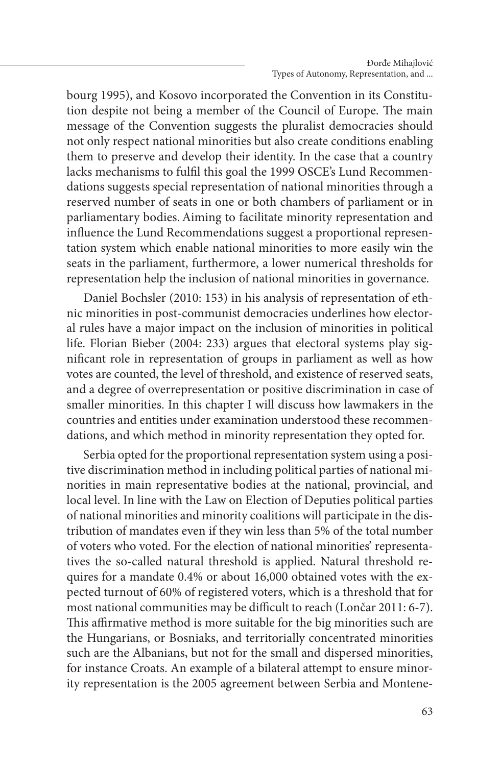bourg 1995), and Kosovo incorporated the Convention in its Constitution despite not being a member of the Council of Europe. The main message of the Convention suggests the pluralist democracies should not only respect national minorities but also create conditions enabling them to preserve and develop their identity. In the case that a country lacks mechanisms to fulfil this goal the 1999 OSCE's Lund Recommendations suggests special representation of national minorities through a reserved number of seats in one or both chambers of parliament or in parliamentary bodies.Aiming to facilitate minority representation and influence the Lund Recommendations suggest a proportional representation system which enable national minorities to more easily win the seats in the parliament, furthermore, a lower numerical thresholds for representation help the inclusion of national minorities in governance.

Daniel Bochsler (2010: 153) in his analysis of representation of ethnic minorities in post-communist democracies underlines how electoral rules have a major impact on the inclusion of minorities in political life. Florian Bieber (2004: 233) argues that electoral systems play significant role in representation of groups in parliament as well as how votes are counted, the level of threshold, and existence of reserved seats, and a degree of overrepresentation or positive discrimination in case of smaller minorities. In this chapter I will discuss how lawmakers in the countries and entities under examination understood these recommendations, and which method in minority representation they opted for.

Serbia opted for the proportional representation system using a positive discrimination method in including political parties of national minorities in main representative bodies at the national, provincial, and local level. In line with the Law on Election of Deputies political parties of national minorities and minority coalitions will participate in the distribution of mandates even if they win less than 5% of the total number of voters who voted. For the election of national minorities' representatives the so-called natural threshold is applied. Natural threshold requires for a mandate 0.4% or about 16,000 obtained votes with the expected turnout of 60% of registered voters, which is a threshold that for most national communities may be difficult to reach (Lončar 2011: 6-7). This affirmative method is more suitable for the big minorities such are the Hungarians, or Bosniaks, and territorially concentrated minorities such are the Albanians, but not for the small and dispersed minorities, for instance Croats. An example of a bilateral attempt to ensure minority representation is the 2005 agreement between Serbia and Montene-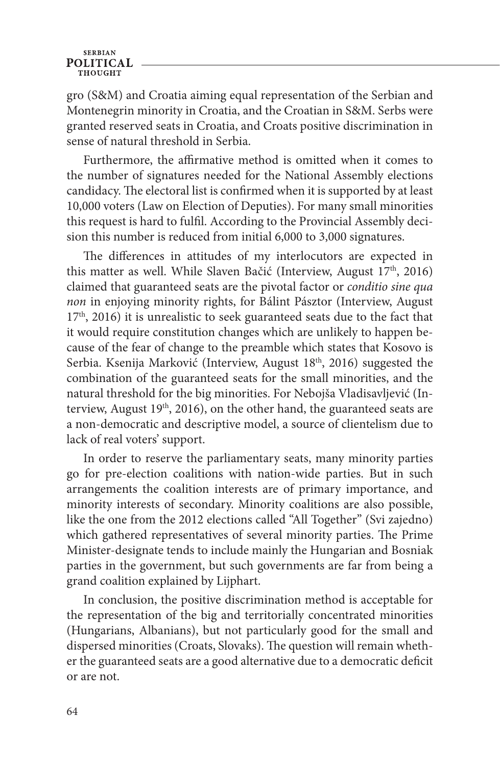gro (S&M) and Croatia aiming equal representation of the Serbian and Montenegrin minority in Croatia, and the Croatian in S&M. Serbs were granted reserved seats in Croatia, and Croats positive discrimination in sense of natural threshold in Serbia.

Furthermore, the affirmative method is omitted when it comes to the number of signatures needed for the National Assembly elections candidacy. The electoral list is confirmed when it is supported by at least 10,000 voters (Law on Election of Deputies). For many small minorities this request is hard to fulfil. According to the Provincial Assembly decision this number is reduced from initial 6,000 to 3,000 signatures.

The differences in attitudes of my interlocutors are expected in this matter as well. While Slaven Bačić (Interview, August 17<sup>th</sup>, 2016) claimed that guaranteed seats are the pivotal factor or *conditio sine qua non* in enjoying minority rights, for Bálint Pásztor (Interview, August  $17<sup>th</sup>$ , 2016) it is unrealistic to seek guaranteed seats due to the fact that it would require constitution changes which are unlikely to happen because of the fear of change to the preamble which states that Kosovo is Serbia. Ksenija Marković (Interview, August 18<sup>th</sup>, 2016) suggested the combination of the guaranteed seats for the small minorities, and the natural threshold for the big minorities. For Nebojša Vladisavljević (Interview, August  $19<sup>th</sup>$ , 2016), on the other hand, the guaranteed seats are a non-democratic and descriptive model, a source of clientelism due to lack of real voters' support.

In order to reserve the parliamentary seats, many minority parties go for pre-election coalitions with nation-wide parties. But in such arrangements the coalition interests are of primary importance, and minority interests of secondary. Minority coalitions are also possible, like the one from the 2012 elections called "All Together" (Svi zajedno) which gathered representatives of several minority parties. The Prime Minister-designate tends to include mainly the Hungarian and Bosniak parties in the government, but such governments are far from being a grand coalition explained by Lijphart.

In conclusion, the positive discrimination method is acceptable for the representation of the big and territorially concentrated minorities (Hungarians, Albanians), but not particularly good for the small and dispersed minorities (Croats, Slovaks). The question will remain whether the guaranteed seats are a good alternative due to a democratic deficit or are not.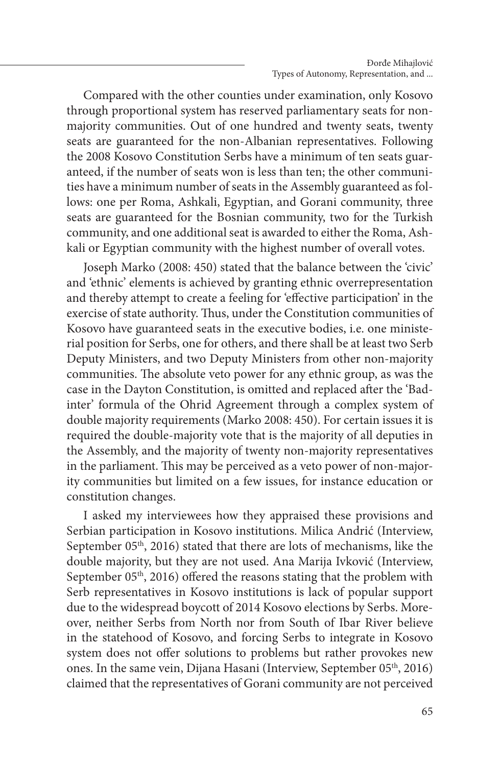Compared with the other counties under examination, only Kosovo through proportional system has reserved parliamentary seats for nonmajority communities. Out of one hundred and twenty seats, twenty seats are guaranteed for the non-Albanian representatives. Following the 2008 Kosovo Constitution Serbs have a minimum of ten seats guaranteed, if the number of seats won is less than ten; the other communities have a minimum number of seats in the Assembly guaranteed as follows: one per Roma, Ashkali, Egyptian, and Gorani community, three seats are guaranteed for the Bosnian community, two for the Turkish community, and one additional seat is awarded to either the Roma, Ashkali or Egyptian community with the highest number of overall votes.

Joseph Marko (2008: 450) stated that the balance between the 'civic' and 'ethnic' elements is achieved by granting ethnic overrepresentation and thereby attempt to create a feeling for 'effective participation' in the exercise of state authority. Thus, under the Constitution communities of Kosovo have guaranteed seats in the executive bodies, i.e. one ministerial position for Serbs, one for others, and there shall be at least two Serb Deputy Ministers, and two Deputy Ministers from other non-majority communities. The absolute veto power for any ethnic group, as was the case in the Dayton Constitution, is omitted and replaced after the 'Badinter' formula of the Ohrid Agreement through a complex system of double majority requirements (Marko 2008: 450). For certain issues it is required the double-majority vote that is the majority of all deputies in the Assembly, and the majority of twenty non-majority representatives in the parliament. This may be perceived as a veto power of non-majority communities but limited on a few issues, for instance education or constitution changes.

I asked my interviewees how they appraised these provisions and Serbian participation in Kosovo institutions. Milica Andrić (Interview, September 05<sup>th</sup>, 2016) stated that there are lots of mechanisms, like the double majority, but they are not used. Ana Marija Ivković (Interview, September  $05<sup>th</sup>$ , 2016) offered the reasons stating that the problem with Serb representatives in Kosovo institutions is lack of popular support due to the widespread boycott of 2014 Kosovo elections by Serbs. Moreover, neither Serbs from North nor from South of Ibar River believe in the statehood of Kosovo, and forcing Serbs to integrate in Kosovo system does not offer solutions to problems but rather provokes new ones. In the same vein, Dijana Hasani (Interview, September 05<sup>th</sup>, 2016) claimed that the representatives of Gorani community are not perceived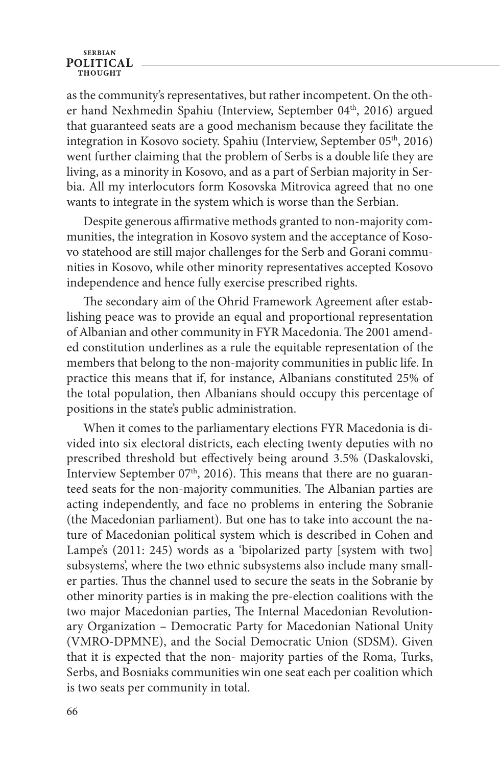as the community's representatives, but rather incompetent. On the other hand Nexhmedin Spahiu (Interview, September 04<sup>th</sup>, 2016) argued that guaranteed seats are a good mechanism because they facilitate the integration in Kosovo society. Spahiu (Interview, September 05<sup>th</sup>, 2016) went further claiming that the problem of Serbs is a double life they are living, as a minority in Kosovo, and as a part of Serbian majority in Serbia. All my interlocutors form Kosovska Mitrovica agreed that no one wants to integrate in the system which is worse than the Serbian.

Despite generous affirmative methods granted to non-majority communities, the integration in Kosovo system and the acceptance of Kosovo statehood are still major challenges for the Serb and Gorani communities in Kosovo, while other minority representatives accepted Kosovo independence and hence fully exercise prescribed rights.

The secondary aim of the Ohrid Framework Agreement after establishing peace was to provide an equal and proportional representation of Albanian and other community in FYR Macedonia. The 2001 amended constitution underlines as a rule the equitable representation of the members that belong to the non-majority communities in public life. In practice this means that if, for instance, Albanians constituted 25% of the total population, then Albanians should occupy this percentage of positions in the state's public administration.

When it comes to the parliamentary elections FYR Macedonia is divided into six electoral districts, each electing twenty deputies with no prescribed threshold but effectively being around 3.5% (Daskalovski, Interview September  $07<sup>th</sup>$ , 2016). This means that there are no guaranteed seats for the non-majority communities. The Albanian parties are acting independently, and face no problems in entering the Sobranie (the Macedonian parliament). But one has to take into account the nature of Macedonian political system which is described in Cohen and Lampe's (2011: 245) words as a 'bipolarized party [system with two] subsystems', where the two ethnic subsystems also include many smaller parties. Thus the channel used to secure the seats in the Sobranie by other minority parties is in making the pre-election coalitions with the two major Macedonian parties, The Internal Macedonian Revolutionary Organization – Democratic Party for Macedonian National Unity (VMRO-DPMNE), and the Social Democratic Union (SDSM). Given that it is expected that the non- majority parties of the Roma, Turks, Serbs, and Bosniaks communities win one seat each per coalition which is two seats per community in total.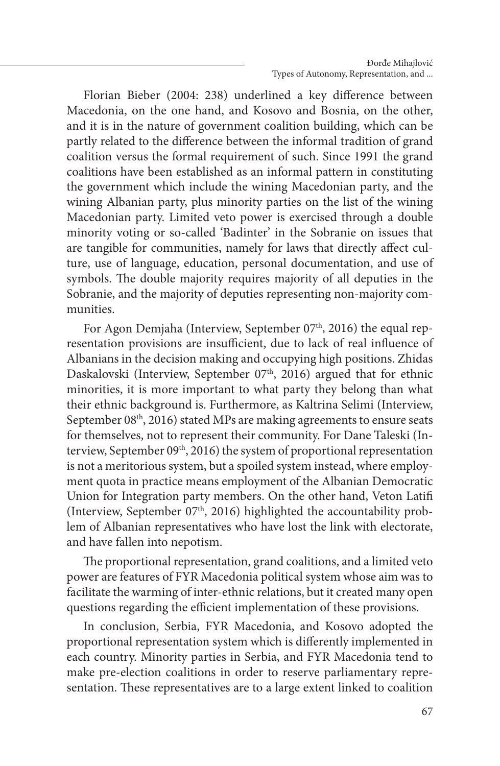Florian Bieber (2004: 238) underlined a key difference between Macedonia, on the one hand, and Kosovo and Bosnia, on the other, and it is in the nature of government coalition building, which can be partly related to the difference between the informal tradition of grand coalition versus the formal requirement of such. Since 1991 the grand coalitions have been established as an informal pattern in constituting the government which include the wining Macedonian party, and the wining Albanian party, plus minority parties on the list of the wining Macedonian party. Limited veto power is exercised through a double minority voting or so-called 'Badinter' in the Sobranie on issues that are tangible for communities, namely for laws that directly affect culture, use of language, education, personal documentation, and use of symbols. The double majority requires majority of all deputies in the Sobranie, and the majority of deputies representing non-majority communities.

For Agon Demjaha (Interview, September 07<sup>th</sup>, 2016) the equal representation provisions are insufficient, due to lack of real influence of Albanians in the decision making and occupying high positions. Zhidas Daskalovski (Interview, September 07<sup>th</sup>, 2016) argued that for ethnic minorities, it is more important to what party they belong than what their ethnic background is. Furthermore, as Kaltrina Selimi (Interview, September 08<sup>th</sup>, 2016) stated MPs are making agreements to ensure seats for themselves, not to represent their community. For Dane Taleski (Interview, September 09<sup>th</sup>, 2016) the system of proportional representation is not a meritorious system, but a spoiled system instead, where employment quota in practice means employment of the Albanian Democratic Union for Integration party members. On the other hand, Veton Latifi (Interview, September  $07<sup>th</sup>$ , 2016) highlighted the accountability problem of Albanian representatives who have lost the link with electorate, and have fallen into nepotism.

The proportional representation, grand coalitions, and a limited veto power are features of FYR Macedonia political system whose aim was to facilitate the warming of inter-ethnic relations, but it created many open questions regarding the efficient implementation of these provisions.

In conclusion, Serbia, FYR Macedonia, and Kosovo adopted the proportional representation system which is differently implemented in each country. Minority parties in Serbia, and FYR Macedonia tend to make pre-election coalitions in order to reserve parliamentary representation. These representatives are to a large extent linked to coalition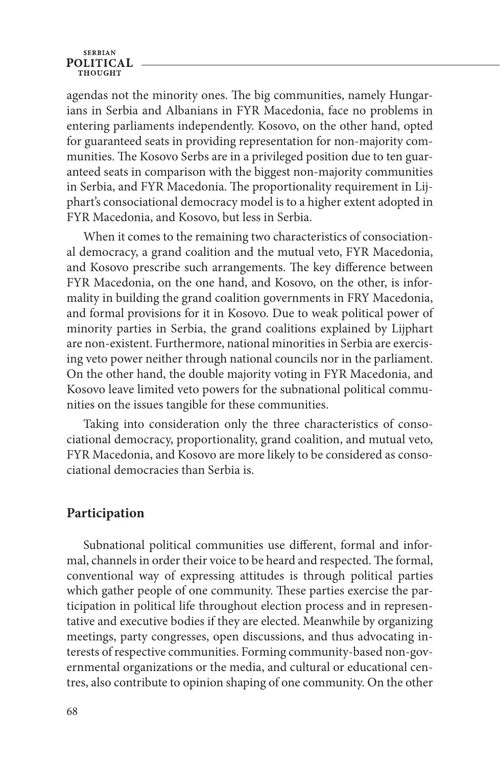agendas not the minority ones. The big communities, namely Hungarians in Serbia and Albanians in FYR Macedonia, face no problems in entering parliaments independently. Kosovo, on the other hand, opted for guaranteed seats in providing representation for non-majority communities. The Kosovo Serbs are in a privileged position due to ten guaranteed seats in comparison with the biggest non-majority communities in Serbia, and FYR Macedonia. The proportionality requirement in Lijphart's consociational democracy model is to a higher extent adopted in FYR Macedonia, and Kosovo, but less in Serbia.

When it comes to the remaining two characteristics of consociational democracy, a grand coalition and the mutual veto, FYR Macedonia, and Kosovo prescribe such arrangements. The key difference between FYR Macedonia, on the one hand, and Kosovo, on the other, is informality in building the grand coalition governments in FRY Macedonia, and formal provisions for it in Kosovo. Due to weak political power of minority parties in Serbia, the grand coalitions explained by Lijphart are non-existent. Furthermore, national minorities in Serbia are exercising veto power neither through national councils nor in the parliament. On the other hand, the double majority voting in FYR Macedonia, and Kosovo leave limited veto powers for the subnational political communities on the issues tangible for these communities.

Taking into consideration only the three characteristics of consociational democracy, proportionality, grand coalition, and mutual veto, FYR Macedonia, and Kosovo are more likely to be considered as consociational democracies than Serbia is.

#### **Participation**

Subnational political communities use different, formal and informal, channels in order their voice to be heard and respected. The formal, conventional way of expressing attitudes is through political parties which gather people of one community. These parties exercise the participation in political life throughout election process and in representative and executive bodies if they are elected. Meanwhile by organizing meetings, party congresses, open discussions, and thus advocating interests of respective communities. Forming community-based non-governmental organizations or the media, and cultural or educational centres, also contribute to opinion shaping of one community. On the other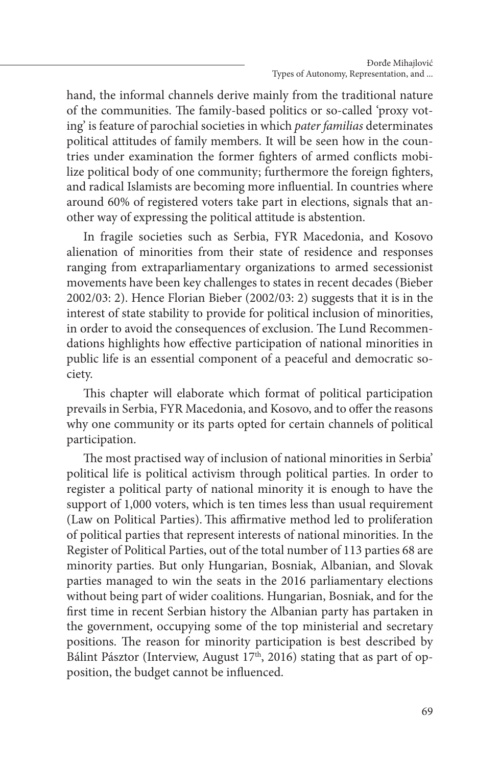hand, the informal channels derive mainly from the traditional nature of the communities. The family-based politics or so-called 'proxy voting' is feature of parochial societies in which *pater familias* determinates political attitudes of family members. It will be seen how in the countries under examination the former fighters of armed conflicts mobilize political body of one community; furthermore the foreign fighters, and radical Islamists are becoming more influential. In countries where around 60% of registered voters take part in elections, signals that another way of expressing the political attitude is abstention.

In fragile societies such as Serbia, FYR Macedonia, and Kosovo alienation of minorities from their state of residence and responses ranging from extraparliamentary organizations to armed secessionist movements have been key challenges to states in recent decades (Bieber 2002/03: 2). Hence Florian Bieber (2002/03: 2) suggests that it is in the interest of state stability to provide for political inclusion of minorities, in order to avoid the consequences of exclusion. The Lund Recommendations highlights how effective participation of national minorities in public life is an essential component of a peaceful and democratic society.

This chapter will elaborate which format of political participation prevails in Serbia, FYR Macedonia, and Kosovo, and to offer the reasons why one community or its parts opted for certain channels of political participation.

The most practised way of inclusion of national minorities in Serbia' political life is political activism through political parties. In order to register a political party of national minority it is enough to have the support of 1,000 voters, which is ten times less than usual requirement (Law on Political Parties).This affirmative method led to proliferation of political parties that represent interests of national minorities. In the Register of Political Parties, out of the total number of 113 parties 68 are minority parties. But only Hungarian, Bosniak, Albanian, and Slovak parties managed to win the seats in the 2016 parliamentary elections without being part of wider coalitions. Hungarian, Bosniak, and for the first time in recent Serbian history the Albanian party has partaken in the government, occupying some of the top ministerial and secretary positions. The reason for minority participation is best described by Bálint Pásztor (Interview, August 17<sup>th</sup>, 2016) stating that as part of opposition, the budget cannot be influenced.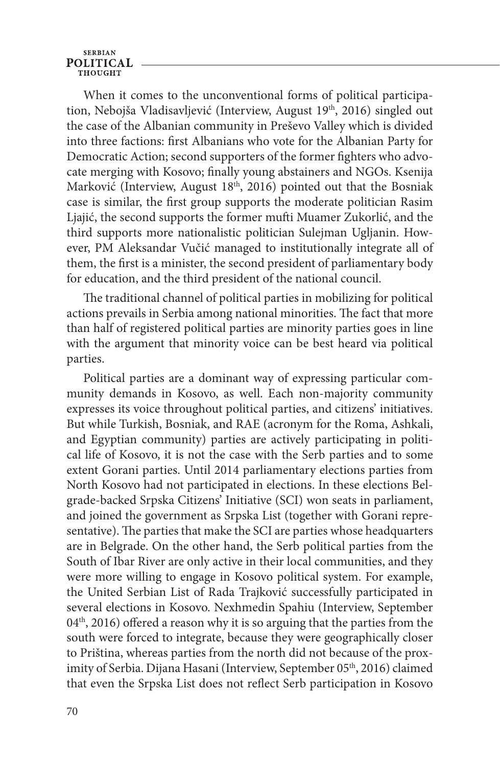When it comes to the unconventional forms of political participation, Nebojša Vladisavljević (Interview, August 19<sup>th</sup>, 2016) singled out the case of the Albanian community in Preševo Valley which is divided into three factions: first Albanians who vote for the Albanian Party for Democratic Action; second supporters of the former fighters who advocate merging with Kosovo; finally young abstainers and NGOs. Ksenija Marković (Interview, August  $18<sup>th</sup>$ , 2016) pointed out that the Bosniak case is similar, the first group supports the moderate politician Rasim Ljajić, the second supports the former mufti Muamer Zukorlić, and the third supports more nationalistic politician Sulejman Ugljanin. However, PM Aleksandar Vučić managed to institutionally integrate all of them, the first is a minister, the second president of parliamentary body for education, and the third president of the national council.

The traditional channel of political parties in mobilizing for political actions prevails in Serbia among national minorities. The fact that more than half of registered political parties are minority parties goes in line with the argument that minority voice can be best heard via political parties.

Political parties are a dominant way of expressing particular community demands in Kosovo, as well. Each non-majority community expresses its voice throughout political parties, and citizens' initiatives. But while Turkish, Bosniak, and RAE (acronym for the Roma, Ashkali, and Egyptian community) parties are actively participating in political life of Kosovo, it is not the case with the Serb parties and to some extent Gorani parties. Until 2014 parliamentary elections parties from North Kosovo had not participated in elections. In these elections Belgrade-backed Srpska Citizens' Initiative (SCI) won seats in parliament, and joined the government as Srpska List (together with Gorani representative). The parties that make the SCI are parties whose headquarters are in Belgrade. On the other hand, the Serb political parties from the South of Ibar River are only active in their local communities, and they were more willing to engage in Kosovo political system. For example, the United Serbian List of Rada Trajković successfully participated in several elections in Kosovo. Nexhmedin Spahiu (Interview, September 04<sup>th</sup>, 2016) offered a reason why it is so arguing that the parties from the south were forced to integrate, because they were geographically closer to Priština, whereas parties from the north did not because of the proximity of Serbia. Dijana Hasani (Interview, September 05<sup>th</sup>, 2016) claimed that even the Srpska List does not reflect Serb participation in Kosovo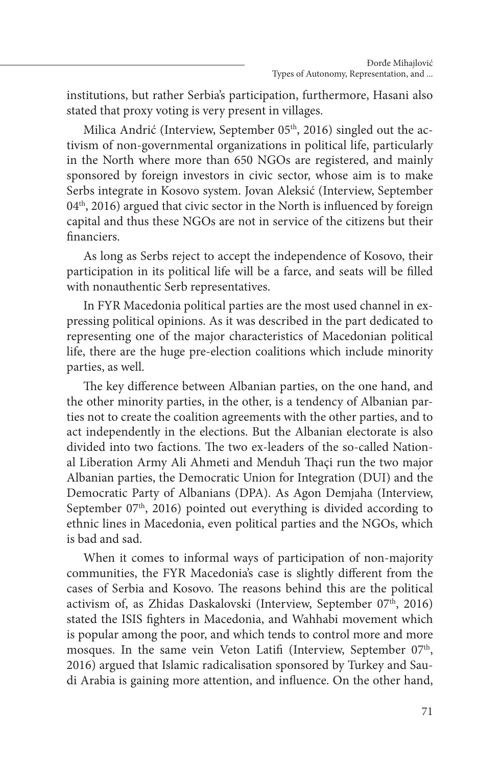institutions, but rather Serbia's participation, furthermore, Hasani also stated that proxy voting is very present in villages.

Milica Andrić (Interview, September 05<sup>th</sup>, 2016) singled out the activism of non-governmental organizations in political life, particularly in the North where more than 650 NGOs are registered, and mainly sponsored by foreign investors in civic sector, whose aim is to make Serbs integrate in Kosovo system. Jovan Aleksić (Interview, September  $04<sup>th</sup>$ , 2016) argued that civic sector in the North is influenced by foreign capital and thus these NGOs are not in service of the citizens but their financiers.

As long as Serbs reject to accept the independence of Kosovo, their participation in its political life will be a farce, and seats will be filled with nonauthentic Serb representatives.

In FYR Macedonia political parties are the most used channel in expressing political opinions. As it was described in the part dedicated to representing one of the major characteristics of Macedonian political life, there are the huge pre-election coalitions which include minority parties, as well.

The key difference between Albanian parties, on the one hand, and the other minority parties, in the other, is a tendency of Albanian parties not to create the coalition agreements with the other parties, and to act independently in the elections. But the Albanian electorate is also divided into two factions. The two ex-leaders of the so-called National Liberation Army Ali Ahmeti and Menduh Thaçi run the two major Albanian parties, the Democratic Union for Integration (DUI) and the Democratic Party of Albanians (DPA). As Agon Demjaha (Interview, September 07<sup>th</sup>, 2016) pointed out everything is divided according to ethnic lines in Macedonia, even political parties and the NGOs, which is bad and sad.

When it comes to informal ways of participation of non-majority communities, the FYR Macedonia's case is slightly different from the cases of Serbia and Kosovo. The reasons behind this are the political activism of, as Zhidas Daskalovski (Interview, September 07<sup>th</sup>, 2016) stated the ISIS fighters in Macedonia, and Wahhabi movement which is popular among the poor, and which tends to control more and more mosques. In the same vein Veton Latifi (Interview, September 07<sup>th</sup>, 2016) argued that Islamic radicalisation sponsored by Turkey and Saudi Arabia is gaining more attention, and influence. On the other hand,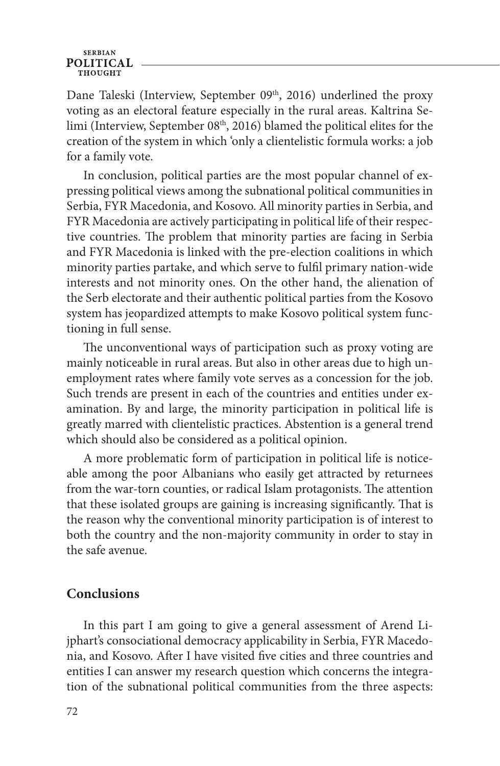Dane Taleski (Interview, September 09th, 2016) underlined the proxy voting as an electoral feature especially in the rural areas. Kaltrina Selimi (Interview, September 08<sup>th</sup>, 2016) blamed the political elites for the creation of the system in which 'only a clientelistic formula works: a job for a family vote.

In conclusion, political parties are the most popular channel of expressing political views among the subnational political communities in Serbia, FYR Macedonia, and Kosovo. All minority parties in Serbia, and FYR Macedonia are actively participating in political life of their respective countries. The problem that minority parties are facing in Serbia and FYR Macedonia is linked with the pre-election coalitions in which minority parties partake, and which serve to fulfil primary nation-wide interests and not minority ones. On the other hand, the alienation of the Serb electorate and their authentic political parties from the Kosovo system has jeopardized attempts to make Kosovo political system functioning in full sense.

The unconventional ways of participation such as proxy voting are mainly noticeable in rural areas. But also in other areas due to high unemployment rates where family vote serves as a concession for the job. Such trends are present in each of the countries and entities under examination. By and large, the minority participation in political life is greatly marred with clientelistic practices. Abstention is a general trend which should also be considered as a political opinion.

A more problematic form of participation in political life is noticeable among the poor Albanians who easily get attracted by returnees from the war-torn counties, or radical Islam protagonists. The attention that these isolated groups are gaining is increasing significantly. That is the reason why the conventional minority participation is of interest to both the country and the non-majority community in order to stay in the safe avenue.

### **Conclusions**

In this part I am going to give a general assessment of Arend Lijphart's consociational democracy applicability in Serbia, FYR Macedonia, and Kosovo. After I have visited five cities and three countries and entities I can answer my research question which concerns the integration of the subnational political communities from the three aspects: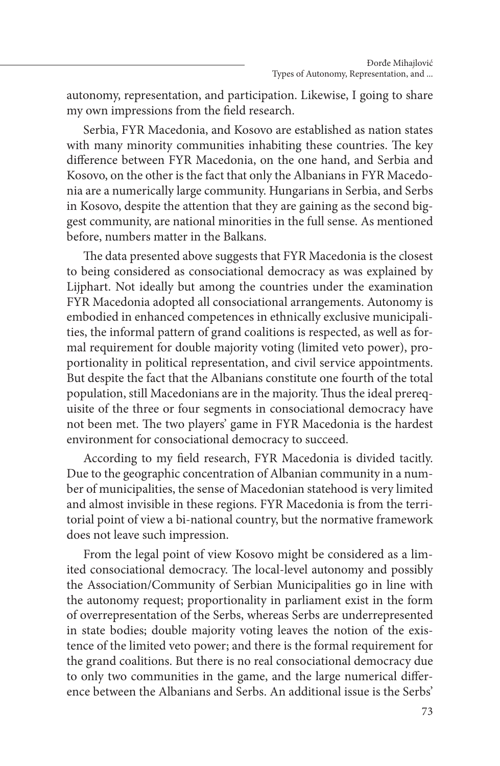autonomy, representation, and participation. Likewise, I going to share my own impressions from the field research.

Serbia, FYR Macedonia, and Kosovo are established as nation states with many minority communities inhabiting these countries. The key difference between FYR Macedonia, on the one hand, and Serbia and Kosovo, on the other is the fact that only the Albanians in FYR Macedonia are a numerically large community. Hungarians in Serbia, and Serbs in Kosovo, despite the attention that they are gaining as the second biggest community, are national minorities in the full sense. As mentioned before, numbers matter in the Balkans.

The data presented above suggests that FYR Macedonia is the closest to being considered as consociational democracy as was explained by Lijphart. Not ideally but among the countries under the examination FYR Macedonia adopted all consociational arrangements. Autonomy is embodied in enhanced competences in ethnically exclusive municipalities, the informal pattern of grand coalitions is respected, as well as formal requirement for double majority voting (limited veto power), proportionality in political representation, and civil service appointments. But despite the fact that the Albanians constitute one fourth of the total population, still Macedonians are in the majority. Thus the ideal prerequisite of the three or four segments in consociational democracy have not been met. The two players' game in FYR Macedonia is the hardest environment for consociational democracy to succeed.

According to my field research, FYR Macedonia is divided tacitly. Due to the geographic concentration of Albanian community in a number of municipalities, the sense of Macedonian statehood is very limited and almost invisible in these regions. FYR Macedonia is from the territorial point of view a bi-national country, but the normative framework does not leave such impression.

From the legal point of view Kosovo might be considered as a limited consociational democracy. The local-level autonomy and possibly the Association/Community of Serbian Municipalities go in line with the autonomy request; proportionality in parliament exist in the form of overrepresentation of the Serbs, whereas Serbs are underrepresented in state bodies; double majority voting leaves the notion of the existence of the limited veto power; and there is the formal requirement for the grand coalitions. But there is no real consociational democracy due to only two communities in the game, and the large numerical difference between the Albanians and Serbs. An additional issue is the Serbs'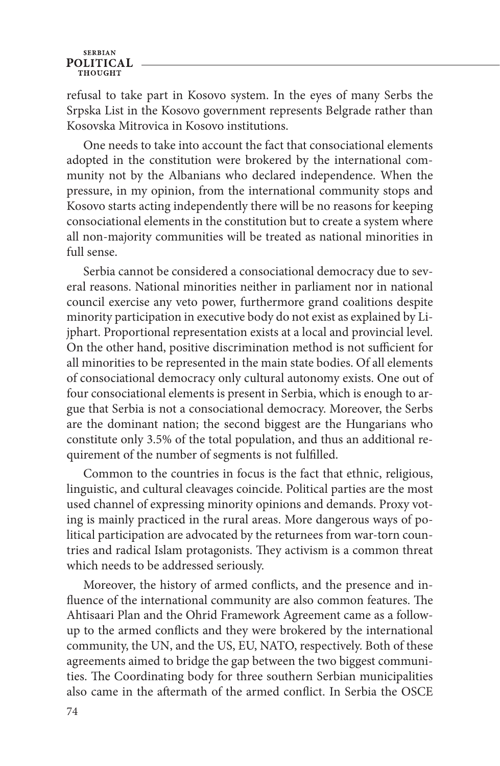refusal to take part in Kosovo system. In the eyes of many Serbs the Srpska List in the Kosovo government represents Belgrade rather than Kosovska Mitrovica in Kosovo institutions.

One needs to take into account the fact that consociational elements adopted in the constitution were brokered by the international community not by the Albanians who declared independence. When the pressure, in my opinion, from the international community stops and Kosovo starts acting independently there will be no reasons for keeping consociational elements in the constitution but to create a system where all non-majority communities will be treated as national minorities in full sense.

Serbia cannot be considered a consociational democracy due to several reasons. National minorities neither in parliament nor in national council exercise any veto power, furthermore grand coalitions despite minority participation in executive body do not exist as explained by Lijphart. Proportional representation exists at a local and provincial level. On the other hand, positive discrimination method is not sufficient for all minorities to be represented in the main state bodies. Of all elements of consociational democracy only cultural autonomy exists. One out of four consociational elements is present in Serbia, which is enough to argue that Serbia is not a consociational democracy. Moreover, the Serbs are the dominant nation; the second biggest are the Hungarians who constitute only 3.5% of the total population, and thus an additional requirement of the number of segments is not fulfilled.

Common to the countries in focus is the fact that ethnic, religious, linguistic, and cultural cleavages coincide. Political parties are the most used channel of expressing minority opinions and demands. Proxy voting is mainly practiced in the rural areas. More dangerous ways of political participation are advocated by the returnees from war-torn countries and radical Islam protagonists. They activism is a common threat which needs to be addressed seriously.

Moreover, the history of armed conflicts, and the presence and influence of the international community are also common features. The Ahtisaari Plan and the Ohrid Framework Agreement came as a followup to the armed conflicts and they were brokered by the international community, the UN, and the US, EU, NATO, respectively. Both of these agreements aimed to bridge the gap between the two biggest communities. The Coordinating body for three southern Serbian municipalities also came in the aftermath of the armed conflict. In Serbia the OSCE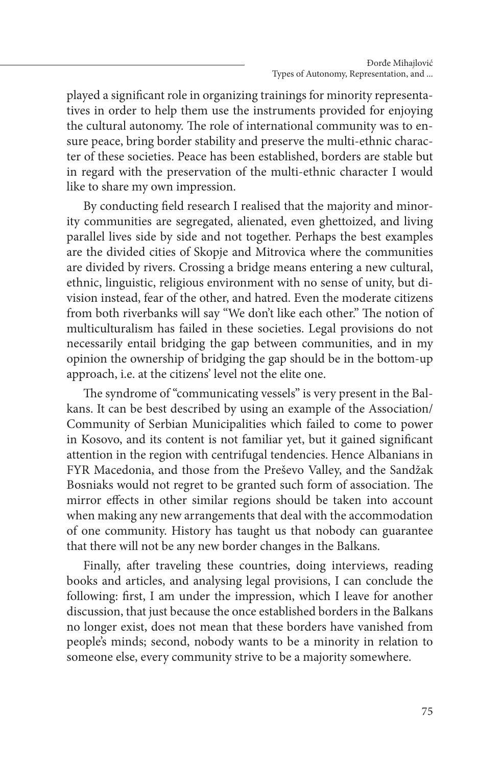played a significant role in organizing trainings for minority representatives in order to help them use the instruments provided for enjoying the cultural autonomy. The role of international community was to ensure peace, bring border stability and preserve the multi-ethnic character of these societies. Peace has been established, borders are stable but in regard with the preservation of the multi-ethnic character I would like to share my own impression.

By conducting field research I realised that the majority and minority communities are segregated, alienated, even ghettoized, and living parallel lives side by side and not together. Perhaps the best examples are the divided cities of Skopje and Mitrovica where the communities are divided by rivers. Crossing a bridge means entering a new cultural, ethnic, linguistic, religious environment with no sense of unity, but division instead, fear of the other, and hatred. Even the moderate citizens from both riverbanks will say "We don't like each other." The notion of multiculturalism has failed in these societies. Legal provisions do not necessarily entail bridging the gap between communities, and in my opinion the ownership of bridging the gap should be in the bottom-up approach, i.e. at the citizens' level not the elite one.

The syndrome of "communicating vessels" is very present in the Balkans. It can be best described by using an example of the Association/ Community of Serbian Municipalities which failed to come to power in Kosovo, and its content is not familiar yet, but it gained significant attention in the region with centrifugal tendencies. Hence Albanians in FYR Macedonia, and those from the Preševo Valley, and the Sandžak Bosniaks would not regret to be granted such form of association. The mirror effects in other similar regions should be taken into account when making any new arrangements that deal with the accommodation of one community. History has taught us that nobody can guarantee that there will not be any new border changes in the Balkans.

Finally, after traveling these countries, doing interviews, reading books and articles, and analysing legal provisions, I can conclude the following: first, I am under the impression, which I leave for another discussion, that just because the once established borders in the Balkans no longer exist, does not mean that these borders have vanished from people's minds; second, nobody wants to be a minority in relation to someone else, every community strive to be a majority somewhere.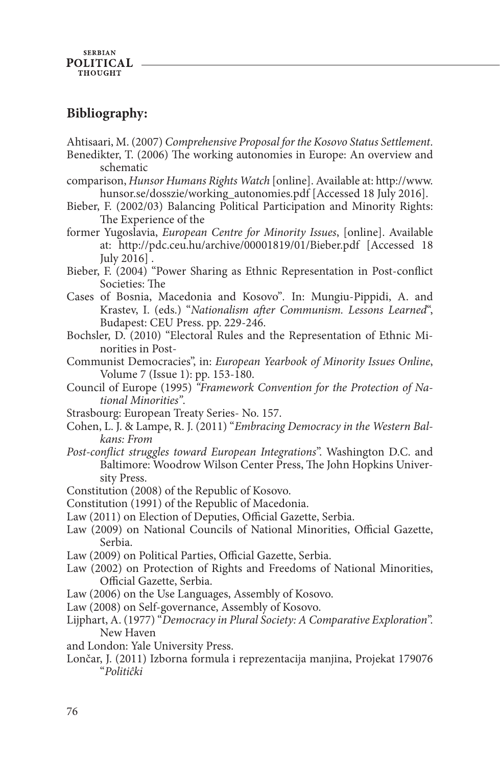# **Bibliography:**

Ahtisaari, M. (2007) *Comprehensive Proposal for the Kosovo Status Settlement*.

- Benedikter, T. (2006) The working autonomies in Europe: An overview and schematic
- comparison, *Hunsor Humans Rights Watch* [online]. Available at: http://www. hunsor.se/dosszie/working\_autonomies.pdf [Accessed 18 July 2016].
- Bieber, F. (2002/03) Balancing Political Participation and Minority Rights: The Experience of the
- former Yugoslavia, *European Centre for Minority Issues*, [online]. Available at: http://pdc.ceu.hu/archive/00001819/01/Bieber.pdf [Accessed 18 July 2016] .
- Bieber, F. (2004) "Power Sharing as Ethnic Representation in Post-conflict Societies: The
- Cases of Bosnia, Macedonia and Kosovo"*.* In: Mungiu-Pippidi, A. and Krastev, I. (eds.) "*Nationalism after Communism. Lessons Learned*", Budapest: CEU Press. pp. 229-246.
- Bochsler, D. (2010) "Electoral Rules and the Representation of Ethnic Minorities in Post-
- Communist Democracies", in: *European Yearbook of Minority Issues Online*, Volume 7 (Issue 1): pp. 153-180.
- Council of Europe (1995) *"Framework Convention for the Protection of National Minorities"*.
- Strasbourg: European Treaty Series- No. 157.
- Cohen, L. J. & Lampe, R. J. (2011) "*Embracing Democracy in the Western Balkans: From*
- *Post-conflict struggles toward European Integrations*". Washington D.C. and Baltimore: Woodrow Wilson Center Press, The John Hopkins University Press.
- Constitution (2008) of the Republic of Kosovo.
- Constitution (1991) of the Republic of Macedonia.
- Law (2011) on Election of Deputies, Official Gazette, Serbia.
- Law (2009) on National Councils of National Minorities, Official Gazette, Serbia.
- Law (2009) on Political Parties, Official Gazette, Serbia.
- Law (2002) on Protection of Rights and Freedoms of National Minorities, Official Gazette, Serbia.
- Law (2006) on the Use Languages, Assembly of Kosovo.
- Law (2008) on Self-governance, Assembly of Kosovo.
- Lijphart, A. (1977) "*Democracy in Plural Society: A Comparative Exploration*". New Haven
- and London: Yale University Press.
- Lončar, J. (2011) Izborna formula i reprezentacija manjina, Projekat 179076 "*Politiĉki*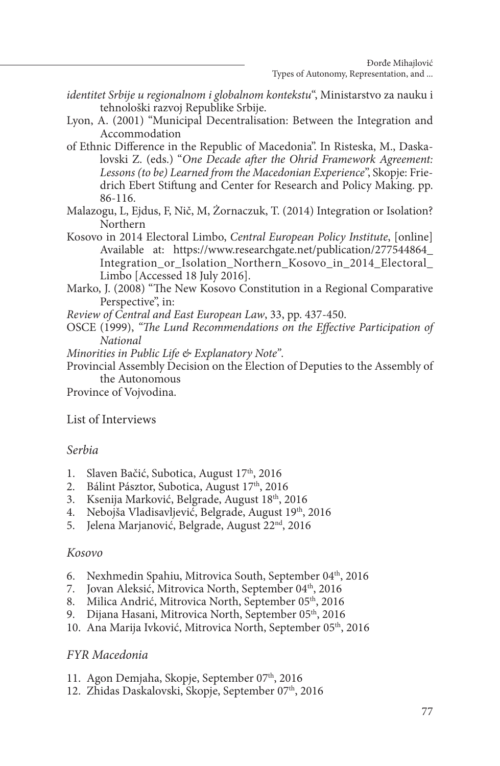- *identitet Srbije u regionalnom i globalnom kontekstu*", Ministarstvo za nauku i tehnološki razvoj Republike Srbije.
- Lyon, A. (2001) "Municipal Decentralisation: Between the Integration and Accommodation
- of Ethnic Difference in the Republic of Macedonia". In Risteska, M., Daskalovski Z. (eds.) "*One Decade after the Ohrid Framework Agreement: Lessons (to be) Learned from the Macedonian Experience*", Skopje: Friedrich Ebert Stiftung and Center for Research and Policy Making. pp. 86-116.
- Malazogu, L, Ejdus, F, Nič, M, Żornaczuk, T. (2014) Integration or Isolation? Northern
- Kosovo in 2014 Electoral Limbo, *Central European Policy Institute*, [online] Available at: https://www.researchgate.net/publication/277544864\_ Integration\_or\_Isolation\_Northern\_Kosovo\_in\_2014\_Electoral\_ Limbo [Accessed 18 July 2016].
- Marko, J. (2008) "The New Kosovo Constitution in a Regional Comparative Perspective", in:
- *Review of Central and East European Law*, 33, pp. 437-450.
- OSCE (1999), *"The Lund Recommendations on the Effective Participation of National*
- *Minorities in Public Life & Explanatory Note"*.
- Provincial Assembly Decision on the Election of Deputies to the Assembly of the Autonomous
- Province of Vojvodina.

#### List of Interviews

#### *Serbia*

- 1. Slaven Bačić, Subotica, August 17<sup>th</sup>, 2016
- 2. Bálint Pásztor, Subotica, August 17<sup>th</sup>, 2016
- 3. Ksenija Marković, Belgrade, August 18<sup>th</sup>, 2016
- 4. Nebojša Vladisavljević, Belgrade, August 19<sup>th</sup>, 2016
- 5. Jelena Marjanović, Belgrade, August 22<sup>nd</sup>, 2016

#### *Kosovo*

- 6. Nexhmedin Spahiu, Mitrovica South, September 04<sup>th</sup>, 2016
- 7. Jovan Aleksić, Mitrovica North, September 04<sup>th</sup>, 2016
- 8. Milica Andrić, Mitrovica North, September 05<sup>th</sup>, 2016
- 9. Dijana Hasani, Mitrovica North, September 05<sup>th</sup>, 2016
- 10. Ana Marija Ivković, Mitrovica North, September 05<sup>th</sup>, 2016

#### *FYR Macedonia*

- 11. Agon Demjaha, Skopje, September 07<sup>th</sup>, 2016
- 12. Zhidas Daskalovski, Skopje, September 07<sup>th</sup>, 2016